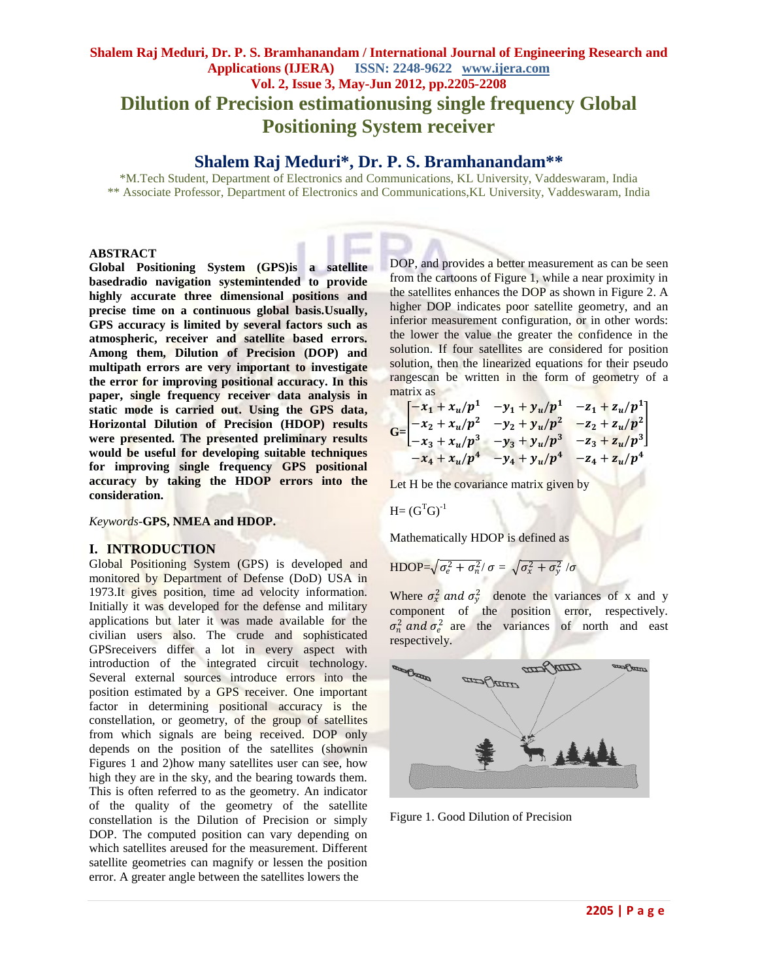# **Shalem Raj Meduri, Dr. P. S. Bramhanandam / International Journal of Engineering Research and Applications (IJERA) ISSN: 2248-9622 www.ijera.com Vol. 2, Issue 3, May-Jun 2012, pp.2205-2208 Dilution of Precision estimationusing single frequency Global Positioning System receiver**

# **Shalem Raj Meduri\* , Dr. P. S. Bramhanandam\*\***

\*M.Tech Student, Department of Electronics and Communications, KL University, Vaddeswaram, India \*\* Associate Professor, Department of Electronics and Communications,KL University, Vaddeswaram, India

### **ABSTRACT**

**Global Positioning System (GPS)is a satellite basedradio navigation systemintended to provide highly accurate three dimensional positions and precise time on a continuous global basis.Usually, GPS accuracy is limited by several factors such as atmospheric, receiver and satellite based errors. Among them, Dilution of Precision (DOP) and multipath errors are very important to investigate the error for improving positional accuracy. In this paper, single frequency receiver data analysis in static mode is carried out. Using the GPS data, Horizontal Dilution of Precision (HDOP) results were presented. The presented preliminary results would be useful for developing suitable techniques for improving single frequency GPS positional accuracy by taking the HDOP errors into the consideration.**

#### *Keywords*-**GPS, NMEA and HDOP.**

#### **I. INTRODUCTION**

Global Positioning System (GPS) is developed and monitored by Department of Defense (DoD) USA in 1973.It gives position, time ad velocity information. Initially it was developed for the defense and military applications but later it was made available for the civilian users also. The crude and sophisticated GPSreceivers differ a lot in every aspect with introduction of the integrated circuit technology. Several external sources introduce errors into the position estimated by a GPS receiver. One important factor in determining positional accuracy is the constellation, or geometry, of the group of satellites from which signals are being received. DOP only depends on the position of the satellites (shownin Figures 1 and 2)how many satellites user can see, how high they are in the sky, and the bearing towards them. This is often referred to as the geometry. An indicator of the quality of the geometry of the satellite constellation is the Dilution of Precision or simply DOP. The computed position can vary depending on which satellites areused for the measurement. Different satellite geometries can magnify or lessen the position error. A greater angle between the satellites lowers the

DOP, and provides a better measurement as can be seen from the cartoons of Figure 1, while a near proximity in the satellites enhances the DOP as shown in Figure 2. A higher DOP indicates poor satellite geometry, and an inferior measurement configuration, or in other words: the lower the value the greater the confidence in the solution. If four satellites are considered for position solution, then the linearized equations for their pseudo rangescan be written in the form of geometry of a matrix as

$$
G = \begin{bmatrix} -x_1 + x_u/p^1 & -y_1 + y_u/p^1 & -z_1 + z_u/p^1 \\ -x_2 + x_u/p^2 & -y_2 + y_u/p^2 & -z_2 + z_u/p^2 \\ -x_3 + x_u/p^3 & -y_3 + y_u/p^3 & -z_3 + z_u/p^3 \\ -x_4 + x_u/p^4 & -y_4 + y_u/p^4 & -z_4 + z_u/p^4 \end{bmatrix}
$$

Let H be the covariance matrix given by

$$
H = (GTG)-1
$$

Mathematically HDOP is defined as

$$
\text{HDOP} = \sqrt{\sigma_e^2 + \sigma_n^2}/\sigma = \sqrt{\sigma_x^2 + \sigma_y^2}/\sigma
$$

Where  $\sigma_x^2$  and  $\sigma_y^2$  denote the variances of x and y component of the position error, respectively.  $\sigma_n^2$  and  $\sigma_e^2$  are the variances of north and east respectively.



Figure 1. Good Dilution of Precision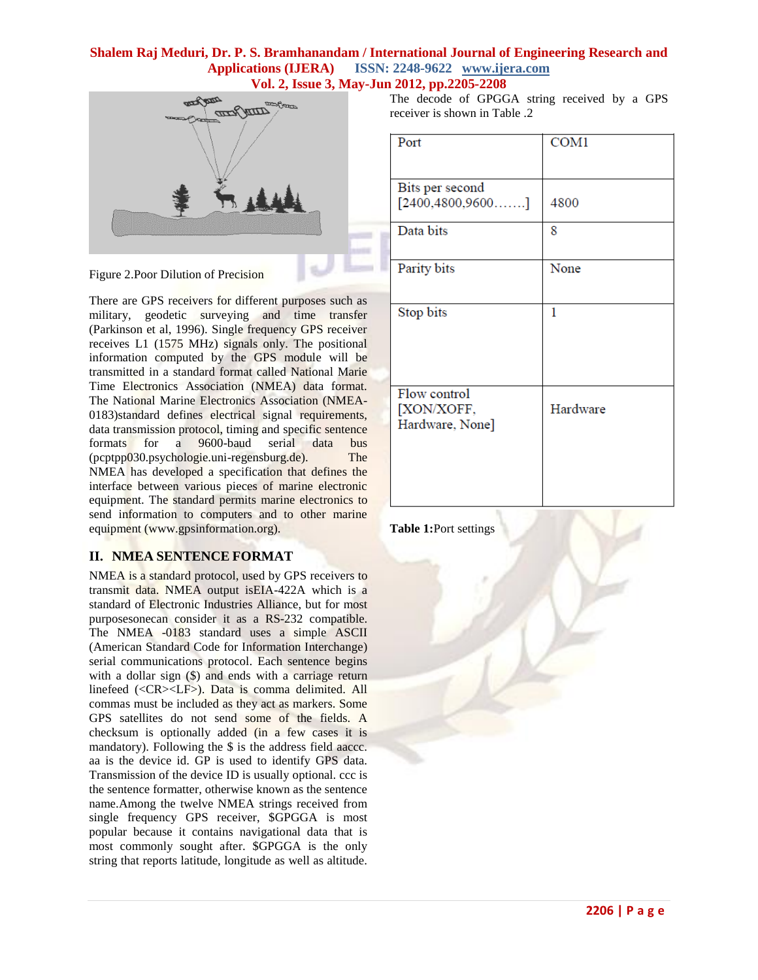### **Shalem Raj Meduri, Dr. P. S. Bramhanandam / International Journal of Engineering Research and Applications (IJERA) ISSN: 2248-9622 www.ijera.com Vol. 2, Issue 3, May-Jun 2012, pp.2205-2208**



Figure 2.Poor Dilution of Precision

There are GPS receivers for different purposes such as military, geodetic surveying and time transfer (Parkinson et al, 1996). Single frequency GPS receiver receives L1 (1575 MHz) signals only. The positional information computed by the GPS module will be transmitted in a standard format called National Marie Time Electronics Association (NMEA) data format. The National Marine Electronics Association (NMEA-0183)standard defines electrical signal requirements, data transmission protocol, timing and specific sentence formats for a 9600-baud serial data bus (pcptpp030.psychologie.uni-regensburg.de). The NMEA has developed a specification that defines the interface between various pieces of marine electronic equipment. The standard permits marine electronics to send information to computers and to other marine equipment (www.gpsinformation.org).

# **II. NMEA SENTENCE FORMAT**

NMEA is a standard protocol, used by GPS receivers to transmit data. NMEA output isEIA-422A which is a standard of Electronic Industries Alliance, but for most purposesonecan consider it as a RS-232 compatible. The NMEA -0183 standard uses a simple ASCII (American Standard Code for Information Interchange) serial communications protocol. Each sentence begins with a dollar sign (\$) and ends with a carriage return linefeed (<CR><LF>). Data is comma delimited. All commas must be included as they act as markers. Some GPS satellites do not send some of the fields. A checksum is optionally added (in a few cases it is mandatory). Following the \$ is the address field aaccc. aa is the device id. GP is used to identify GPS data. Transmission of the device ID is usually optional. ccc is the sentence formatter, otherwise known as the sentence name.Among the twelve NMEA strings received from single frequency GPS receiver, \$GPGGA is most popular because it contains navigational data that is most commonly sought after. \$GPGGA is the only string that reports latitude, longitude as well as altitude.

The decode of GPGGA string received by a GPS receiver is shown in Table .2

| Port                                          | COM <sub>1</sub> |
|-----------------------------------------------|------------------|
| Bits per second                               |                  |
| $[2400, 4800, 9600, \ldots]$                  | 4800             |
| Data bits                                     | 8                |
| Parity bits                                   | None             |
| Stop bits                                     | 1                |
| Flow control<br>[XON/XOFF,<br>Hardware, None] | Hardware         |
|                                               |                  |

**Table 1:**Port settings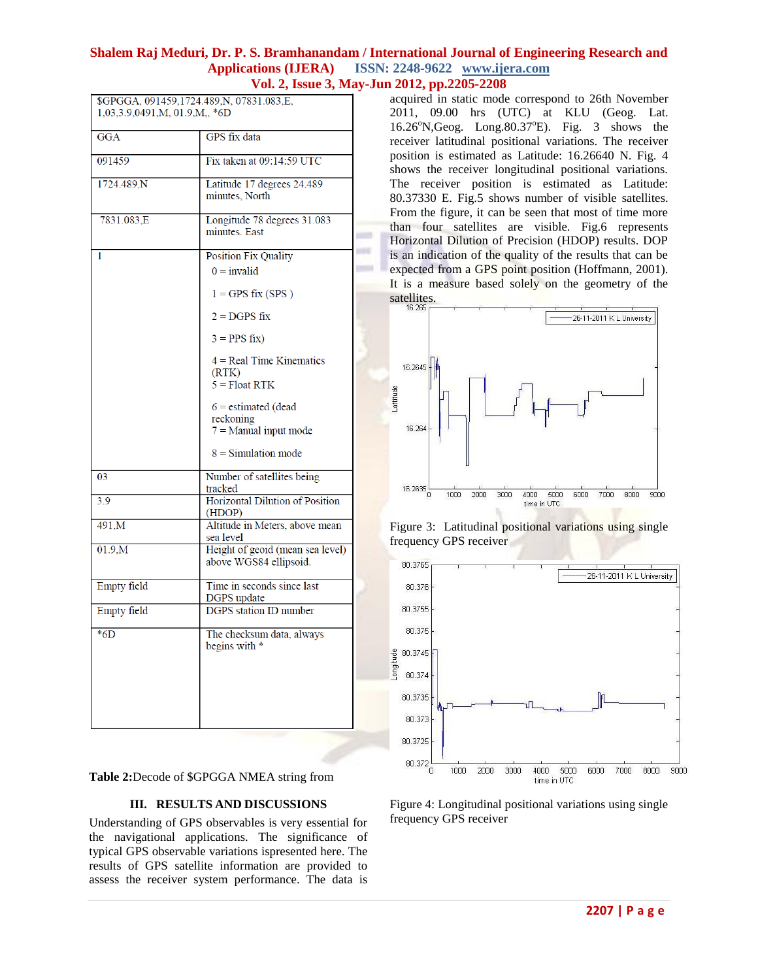### **Shalem Raj Meduri, Dr. P. S. Bramhanandam / International Journal of Engineering Research and Applications (IJERA) ISSN: 2248-9622 www.ijera.com Vol. 2, Issue 3, May-Jun 2012, pp.2205-2208**

| \$GPGGA, 091459,1724.489, N, 07831.083, E,<br>1,03,3.9,0491,M, 01.9,M,, *6D |                                                            |  |
|-----------------------------------------------------------------------------|------------------------------------------------------------|--|
| <b>GGA</b>                                                                  | GPS fix data                                               |  |
| 091459                                                                      | Fix taken at 09:14:59 UTC                                  |  |
| 1724.489,N                                                                  | Latitude 17 degrees 24.489<br>minutes. North               |  |
| 7831.083,E                                                                  | Longitude 78 degrees 31.083<br>minutes. East               |  |
| 1                                                                           | <b>Position Fix Quality</b>                                |  |
|                                                                             | $0 = invalid$                                              |  |
|                                                                             | $1 = GPS$ fix (SPS)                                        |  |
|                                                                             | $2 = DGPS$ fix                                             |  |
|                                                                             | $3 = PPS fix$                                              |  |
|                                                                             | $4 = Real Time Kinematics$<br>(RTK)                        |  |
|                                                                             | $5 =$ Float RTK                                            |  |
|                                                                             | $6 =$ estimated (dead<br>reckoning                         |  |
|                                                                             | $7 =$ Manual input mode                                    |  |
|                                                                             | $8 =$ Simulation mode                                      |  |
| 03                                                                          | Number of satellites being<br>tracked                      |  |
| 3.9                                                                         | <b>Horizontal Dilution of Position</b><br>(HDOP)           |  |
| 491,M                                                                       | Altitude in Meters, above mean<br>sea level                |  |
| 01.9 <sub>M</sub>                                                           | Height of geoid (mean sea level)<br>above WGS84 ellipsoid. |  |
| <b>Empty</b> field                                                          | Time in seconds since last<br>DGPS update                  |  |
| <b>Empty</b> field                                                          | <b>DGPS</b> station ID number                              |  |
| $*6D$                                                                       | The checksum data, always<br>begins with *                 |  |
|                                                                             |                                                            |  |
|                                                                             |                                                            |  |
|                                                                             |                                                            |  |

**Table 2:**Decode of \$GPGGA NMEA string from

#### **III. RESULTS AND DISCUSSIONS**

Understanding of GPS observables is very essential for the navigational applications. The significance of typical GPS observable variations ispresented here. The results of GPS satellite information are provided to assess the receiver system performance. The data is

acquired in static mode correspond to 26th November 2011, 09.00 hrs (UTC) at KLU (Geog. Lat.  $16.26^{\circ}$ N,Geog. Long.80.37 $^{\circ}$ E). Fig. 3 shows the receiver latitudinal positional variations. The receiver position is estimated as Latitude: 16.26640 N. Fig. 4 shows the receiver longitudinal positional variations. The receiver position is estimated as Latitude: 80.37330 E. Fig.5 shows number of visible satellites. From the figure, it can be seen that most of time more than four satellites are visible. Fig.6 represents Horizontal Dilution of Precision (HDOP) results. DOP is an indication of the quality of the results that can be expected from a GPS point position (Hoffmann, 2001). It is a measure based solely on the geometry of the satellites.







Figure 4: Longitudinal positional variations using single frequency GPS receiver